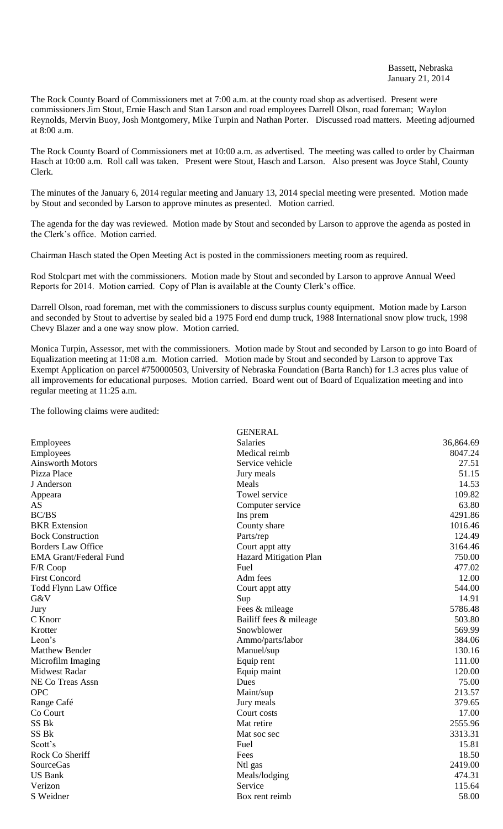The Rock County Board of Commissioners met at 7:00 a.m. at the county road shop as advertised. Present were commissioners Jim Stout, Ernie Hasch and Stan Larson and road employees Darrell Olson, road foreman; Waylon Reynolds, Mervin Buoy, Josh Montgomery, Mike Turpin and Nathan Porter. Discussed road matters. Meeting adjourned at 8:00 a.m.

The Rock County Board of Commissioners met at 10:00 a.m. as advertised. The meeting was called to order by Chairman Hasch at 10:00 a.m. Roll call was taken. Present were Stout, Hasch and Larson. Also present was Joyce Stahl, County Clerk.

The minutes of the January 6, 2014 regular meeting and January 13, 2014 special meeting were presented. Motion made by Stout and seconded by Larson to approve minutes as presented. Motion carried.

The agenda for the day was reviewed. Motion made by Stout and seconded by Larson to approve the agenda as posted in the Clerk's office. Motion carried.

Chairman Hasch stated the Open Meeting Act is posted in the commissioners meeting room as required.

Rod Stolcpart met with the commissioners. Motion made by Stout and seconded by Larson to approve Annual Weed Reports for 2014. Motion carried. Copy of Plan is available at the County Clerk's office.

Darrell Olson, road foreman, met with the commissioners to discuss surplus county equipment. Motion made by Larson and seconded by Stout to advertise by sealed bid a 1975 Ford end dump truck, 1988 International snow plow truck, 1998 Chevy Blazer and a one way snow plow. Motion carried.

Monica Turpin, Assessor, met with the commissioners. Motion made by Stout and seconded by Larson to go into Board of Equalization meeting at 11:08 a.m. Motion carried. Motion made by Stout and seconded by Larson to approve Tax Exempt Application on parcel #750000503, University of Nebraska Foundation (Barta Ranch) for 1.3 acres plus value of all improvements for educational purposes. Motion carried. Board went out of Board of Equalization meeting and into regular meeting at 11:25 a.m.

The following claims were audited:

|                               | <b>GENERAL</b>                |           |
|-------------------------------|-------------------------------|-----------|
| Employees                     | <b>Salaries</b>               | 36,864.69 |
| Employees                     | Medical reimb                 | 8047.24   |
| <b>Ainsworth Motors</b>       | Service vehicle               | 27.51     |
| Pizza Place                   | Jury meals                    | 51.15     |
| J Anderson                    | Meals                         | 14.53     |
| Appeara                       | Towel service                 | 109.82    |
| AS                            | Computer service              | 63.80     |
| <b>BC/BS</b>                  | Ins prem                      | 4291.86   |
| <b>BKR</b> Extension          | County share                  | 1016.46   |
| <b>Bock Construction</b>      | Parts/rep                     | 124.49    |
| <b>Borders Law Office</b>     | Court appt atty               | 3164.46   |
| <b>EMA Grant/Federal Fund</b> | <b>Hazard Mitigation Plan</b> | 750.00    |
| F/R Coop                      | Fuel                          | 477.02    |
| <b>First Concord</b>          | Adm fees                      | 12.00     |
| Todd Flynn Law Office         | Court appt atty               | 544.00    |
| G&V                           | Sup                           | 14.91     |
| Jury                          | Fees & mileage                | 5786.48   |
| C Knorr                       | Bailiff fees & mileage        | 503.80    |
| Krotter                       | Snowblower                    | 569.99    |
| Leon's                        | Ammo/parts/labor              | 384.06    |
| <b>Matthew Bender</b>         | Manuel/sup                    | 130.16    |
| Microfilm Imaging             | Equip rent                    | 111.00    |
| <b>Midwest Radar</b>          | Equip maint                   | 120.00    |
| NE Co Treas Assn              | Dues                          | 75.00     |
| <b>OPC</b>                    | Maint/sup                     | 213.57    |
| Range Café                    | Jury meals                    | 379.65    |
| Co Court                      | Court costs                   | 17.00     |
| SS Bk                         | Mat retire                    | 2555.96   |
| SS <sub>Bk</sub>              | Mat soc sec                   | 3313.31   |
| Scott's                       | Fuel                          | 15.81     |
| Rock Co Sheriff               | Fees                          | 18.50     |
| <b>SourceGas</b>              | Ntl gas                       | 2419.00   |
| <b>US Bank</b>                | Meals/lodging                 | 474.31    |
| Verizon                       | Service                       | 115.64    |
| S Weidner                     | Box rent reimb                | 58.00     |